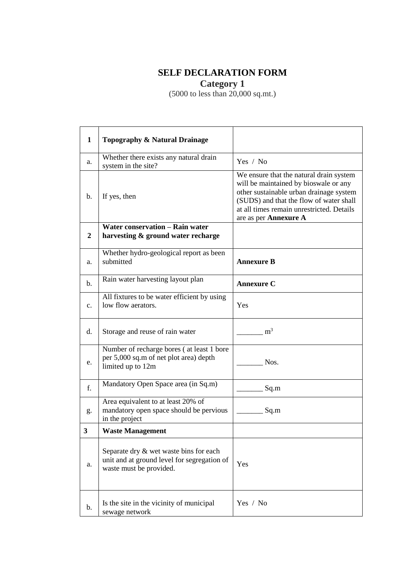## **SELF DECLARATION FORM**

**Category 1**

(5000 to less than 20,000 sq.mt.)

| $\mathbf{1}$   | Topography & Natural Drainage                                                                                    |                                                                                                                                                                                                                                              |
|----------------|------------------------------------------------------------------------------------------------------------------|----------------------------------------------------------------------------------------------------------------------------------------------------------------------------------------------------------------------------------------------|
| a.             | Whether there exists any natural drain<br>system in the site?                                                    | Yes / No                                                                                                                                                                                                                                     |
| b.             | If yes, then                                                                                                     | We ensure that the natural drain system<br>will be maintained by bioswale or any<br>other sustainable urban drainage system<br>(SUDS) and that the flow of water shall<br>at all times remain unrestricted. Details<br>are as per Annexure A |
| 2              | <b>Water conservation - Rain water</b><br>harvesting & ground water recharge                                     |                                                                                                                                                                                                                                              |
| a.             | Whether hydro-geological report as been<br>submitted                                                             | <b>Annexure B</b>                                                                                                                                                                                                                            |
| $\mathbf{b}$ . | Rain water harvesting layout plan                                                                                | <b>Annexure C</b>                                                                                                                                                                                                                            |
| $C_{\bullet}$  | All fixtures to be water efficient by using<br>low flow aerators.                                                | Yes                                                                                                                                                                                                                                          |
| $d_{\cdot}$    | Storage and reuse of rain water                                                                                  | m <sup>3</sup>                                                                                                                                                                                                                               |
| e.             | Number of recharge bores (at least 1 bore<br>per 5,000 sq.m of net plot area) depth<br>limited up to 12m         | Nos.                                                                                                                                                                                                                                         |
| f.             | Mandatory Open Space area (in Sq.m)                                                                              | Sq.m                                                                                                                                                                                                                                         |
| g.             | Area equivalent to at least 20% of<br>mandatory open space should be pervious<br>in the project                  | Sq.m                                                                                                                                                                                                                                         |
| 3              | <b>Waste Management</b>                                                                                          |                                                                                                                                                                                                                                              |
| a.             | Separate dry & wet waste bins for each<br>unit and at ground level for segregation of<br>waste must be provided. | Yes                                                                                                                                                                                                                                          |
| b.             | Is the site in the vicinity of municipal<br>sewage network                                                       | Yes / No                                                                                                                                                                                                                                     |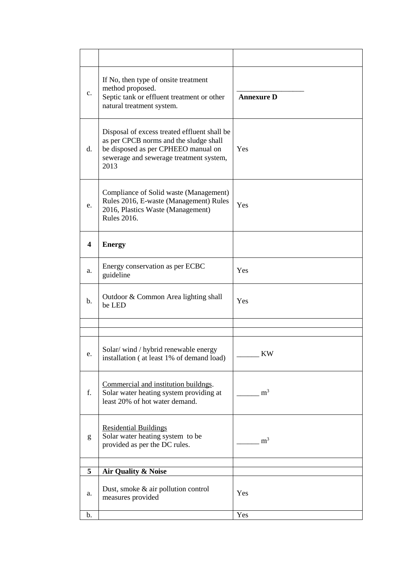| c.                      | If No, then type of onsite treatment<br>method proposed.<br>Septic tank or effluent treatment or other<br>natural treatment system.                                              | <b>Annexure D</b> |
|-------------------------|----------------------------------------------------------------------------------------------------------------------------------------------------------------------------------|-------------------|
| d.                      | Disposal of excess treated effluent shall be<br>as per CPCB norms and the sludge shall<br>be disposed as per CPHEEO manual on<br>sewerage and sewerage treatment system,<br>2013 | Yes               |
| e.                      | Compliance of Solid waste (Management)<br>Rules 2016, E-waste (Management) Rules<br>2016, Plastics Waste (Management)<br><b>Rules 2016.</b>                                      | Yes               |
| $\overline{\mathbf{4}}$ | <b>Energy</b>                                                                                                                                                                    |                   |
| a.                      | Energy conservation as per ECBC<br>guideline                                                                                                                                     | Yes               |
| b.                      | Outdoor & Common Area lighting shall<br>be LED                                                                                                                                   | Yes               |
|                         |                                                                                                                                                                                  |                   |
|                         |                                                                                                                                                                                  |                   |
| ∊.                      | Solar/wind/hybrid renewable energy<br>installation (at least 1% of demand load)                                                                                                  | KW                |
| f.                      | Commercial and institution buildngs.<br>Solar water heating system providing at<br>least 20% of hot water demand.                                                                | m <sup>3</sup>    |
| g                       | <b>Residential Buildings</b><br>Solar water heating system to be<br>provided as per the DC rules.                                                                                | $\rm m^3$         |
| 5                       | Air Quality & Noise                                                                                                                                                              |                   |
|                         |                                                                                                                                                                                  |                   |
| a.                      | Dust, smoke & air pollution control<br>measures provided                                                                                                                         | Yes               |
| b.                      |                                                                                                                                                                                  | Yes               |